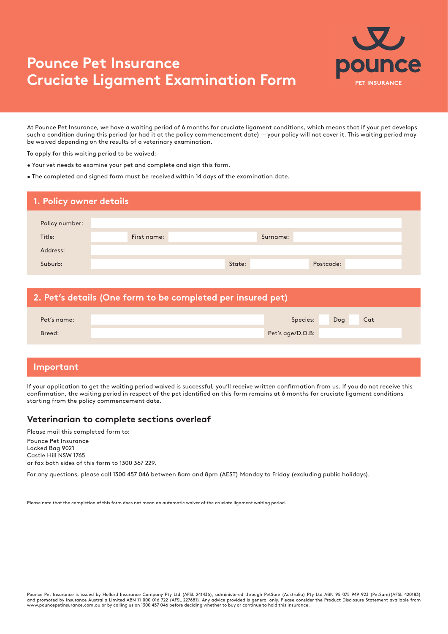# **Pounce Pet Insurance Cruciate Ligament Examination Form**



At Pounce Pet Insurance, we have a waiting period of 6 months for cruciate ligament conditions, which means that if your pet develops such a condition during this period (or had it at the policy commencement date) — your policy will not cover it. This waiting period may be waived depending on the results of a veterinary examination.

To apply for this waiting period to be waived:

- Your vet needs to examine your pet and complete and sign this form.
- The completed and signed form must be received within 14 days of the examination date.

| Policy number:<br>Title:<br>First name:<br>Surname:<br>Address:<br>Suburb:<br>Postcode:<br>State: | 1. Policy owner details |  |  |  |  |
|---------------------------------------------------------------------------------------------------|-------------------------|--|--|--|--|
|                                                                                                   |                         |  |  |  |  |
|                                                                                                   |                         |  |  |  |  |
|                                                                                                   |                         |  |  |  |  |
|                                                                                                   |                         |  |  |  |  |

| 2. Pet's details (One form to be completed per insured pet) |  |                  |     |     |
|-------------------------------------------------------------|--|------------------|-----|-----|
| Pet's name:                                                 |  | Species:         | Dog | Cat |
| Breed:                                                      |  | Pet's age/D.O.B: |     |     |

### **Important**

If your application to get the waiting period waived is successful, you'll receive written confirmation from us. If you do not receive this confirmation, the waiting period in respect of the pet identified on this form remains at 6 months for cruciate ligament conditions starting from the policy commencement date.

#### **Veterinarian to complete sections overleaf**

Please mail this completed form to: Pounce Pet Insurance Locked Bag 9021 Castle Hill NSW 1765 or fax both sides of this form to 1300 367 229.

For any questions, please call 1300 457 046 between 8am and 8pm (AEST) Monday to Friday (excluding public holidays).

Please note that the completion of this form does not mean an automatic waiver of the cruciate ligament waiting period.